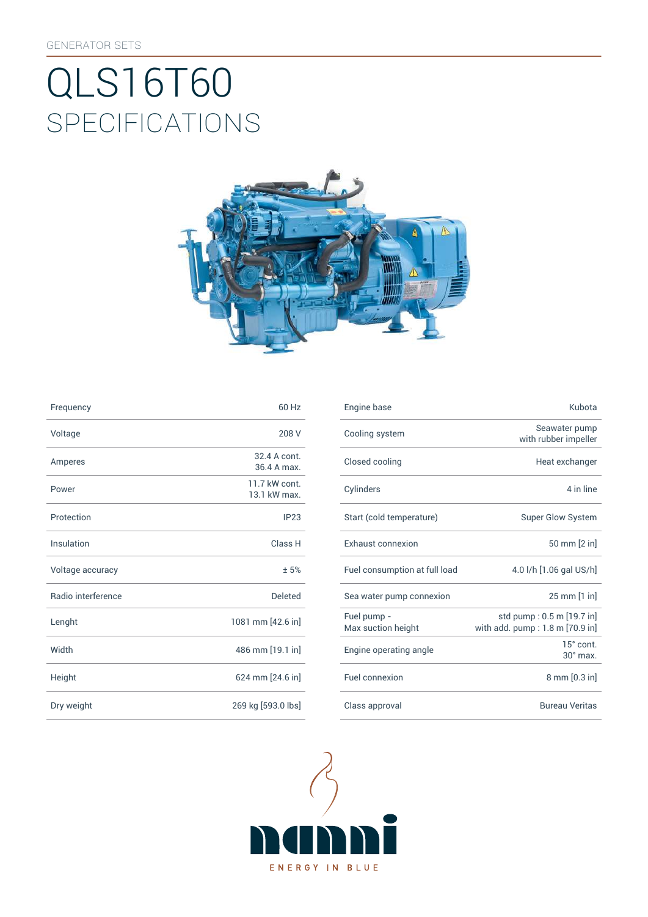# SpEcificATiONS QLS16T60



| Frequency          | 60 Hz                         | Engine base                |
|--------------------|-------------------------------|----------------------------|
| Voltage            | 208 V                         | Cooling syst               |
| Amperes            | 32.4 A cont.<br>36.4 A max.   | Closed cooli               |
| Power              | 11.7 kW cont.<br>13.1 kW max. | Cylinders                  |
| Protection         | IP23                          | Start (cold te             |
| Insulation         | Class H                       | Exhaust con                |
| Voltage accuracy   | ±5%                           | Fuel consum                |
| Radio interference | <b>Deleted</b>                | Sea water pu               |
| Lenght             | 1081 mm [42.6 in]             | Fuel pump -<br>Max suction |
| Width              | 486 mm [19.1 in]              | Engine opera               |
| Height             | 624 mm [24.6 in]              | Fuel connexi               |
| Dry weight         | 269 kg [593.0 lbs]            | Class approv               |

| Frequency          | 60 Hz                         | Engine base                       | Kubota                                                       |
|--------------------|-------------------------------|-----------------------------------|--------------------------------------------------------------|
| Voltage            | 208 V                         | Cooling system                    | Seawater pump<br>with rubber impeller                        |
| Amperes            | 32.4 A cont.<br>36.4 A max.   | Closed cooling                    | Heat exchanger                                               |
| Power              | 11.7 kW cont.<br>13.1 kW max. | Cylinders                         | 4 in line                                                    |
| Protection         | IP23                          | Start (cold temperature)          | <b>Super Glow System</b>                                     |
| Insulation         | Class H                       | Exhaust connexion                 | 50 mm [2 in]                                                 |
| Voltage accuracy   | ±5%                           | Fuel consumption at full load     | 4.0 l/h [1.06 gal US/h]                                      |
| Radio interference | Deleted                       | Sea water pump connexion          | 25 mm [1 in]                                                 |
| Lenght             | 1081 mm [42.6 in]             | Fuel pump -<br>Max suction height | std pump: 0.5 m [19.7 in]<br>with add. pump: 1.8 m [70.9 in] |
| Width              | 486 mm [19.1 in]              | Engine operating angle            | 15° cont.<br>$30^\circ$ max.                                 |
| Height             | 624 mm [24.6 in]              | Fuel connexion                    | 8 mm [0.3 in]                                                |
| Dry weight         | 269 kg [593.0 lbs]            | Class approval                    | <b>Bureau Veritas</b>                                        |